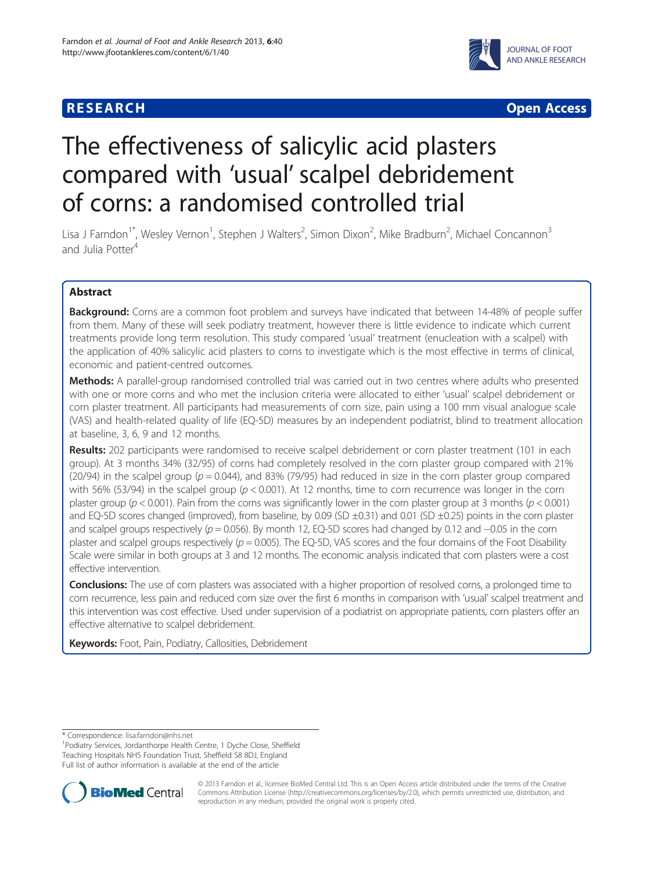## **RESEARCH CHEAR CHEAR CHEAR CHEAR CHEAR CHEAR CHEAR CHEAR CHEAR CHEAR CHEAR CHEAR CHEAR CHEAR CHEAR CHEAR CHEAR**



# The effectiveness of salicylic acid plasters compared with 'usual' scalpel debridement of corns: a randomised controlled trial

Lisa J Farndon<sup>1\*</sup>, Wesley Vernon<sup>1</sup>, Stephen J Walters<sup>2</sup>, Simon Dixon<sup>2</sup>, Mike Bradburn<sup>2</sup>, Michael Concannon<sup>3</sup> and Julia Potter<sup>4</sup>

## Abstract

Background: Corns are a common foot problem and surveys have indicated that between 14-48% of people suffer from them. Many of these will seek podiatry treatment, however there is little evidence to indicate which current treatments provide long term resolution. This study compared 'usual' treatment (enucleation with a scalpel) with the application of 40% salicylic acid plasters to corns to investigate which is the most effective in terms of clinical, economic and patient-centred outcomes.

Methods: A parallel-group randomised controlled trial was carried out in two centres where adults who presented with one or more corns and who met the inclusion criteria were allocated to either 'usual' scalpel debridement or corn plaster treatment. All participants had measurements of corn size, pain using a 100 mm visual analogue scale (VAS) and health-related quality of life (EQ-5D) measures by an independent podiatrist, blind to treatment allocation at baseline, 3, 6, 9 and 12 months.

Results: 202 participants were randomised to receive scalpel debridement or corn plaster treatment (101 in each group). At 3 months 34% (32/95) of corns had completely resolved in the corn plaster group compared with 21% (20/94) in the scalpel group ( $p = 0.044$ ), and 83% (79/95) had reduced in size in the corn plaster group compared with 56% (53/94) in the scalpel group ( $p < 0.001$ ). At 12 months, time to corn recurrence was longer in the corn plaster group ( $p < 0.001$ ). Pain from the corns was significantly lower in the corn plaster group at 3 months ( $p < 0.001$ ) and EQ-5D scores changed (improved), from baseline, by 0.09 (SD  $\pm$ 0.31) and 0.01 (SD  $\pm$ 0.25) points in the corn plaster and scalpel groups respectively ( $p = 0.056$ ). By month 12, EQ-5D scores had changed by 0.12 and  $-0.05$  in the corn plaster and scalpel groups respectively ( $p = 0.005$ ). The EQ-5D, VAS scores and the four domains of the Foot Disability Scale were similar in both groups at 3 and 12 months. The economic analysis indicated that corn plasters were a cost effective intervention.

**Conclusions:** The use of corn plasters was associated with a higher proportion of resolved corns, a prolonged time to corn recurrence, less pain and reduced corn size over the first 6 months in comparison with 'usual' scalpel treatment and this intervention was cost effective. Used under supervision of a podiatrist on appropriate patients, corn plasters offer an effective alternative to scalpel debridement.

Keywords: Foot, Pain, Podiatry, Callosities, Debridement

\* Correspondence: [lisa.farndon@nhs.net](mailto:lisa.farndon@nhs.net) <sup>1</sup>

<sup>1</sup>Podiatry Services, Jordanthorpe Health Centre, 1 Dyche Close, Sheffield Teaching Hospitals NHS Foundation Trust, Sheffield S8 8DJ, England Full list of author information is available at the end of the article



© 2013 Farndon et al.; licensee BioMed Central Ltd. This is an Open Access article distributed under the terms of the Creative Commons Attribution License [\(http://creativecommons.org/licenses/by/2.0\)](http://creativecommons.org/licenses/by/2.0), which permits unrestricted use, distribution, and reproduction in any medium, provided the original work is properly cited.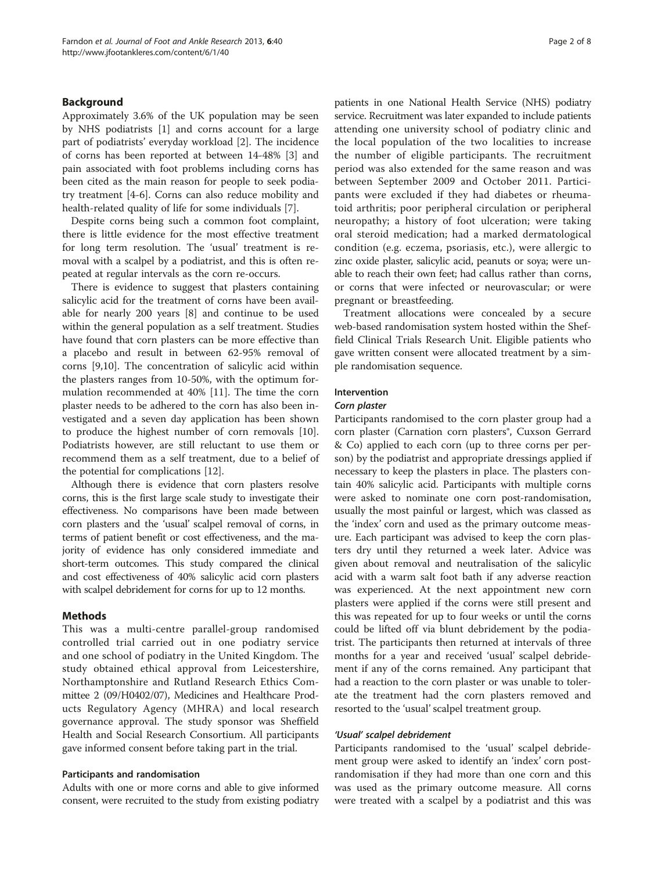## Background

Approximately 3.6% of the UK population may be seen by NHS podiatrists [\[1](#page-7-0)] and corns account for a large part of podiatrists' everyday workload [[2\]](#page-7-0). The incidence of corns has been reported at between 14-48% [\[3](#page-7-0)] and pain associated with foot problems including corns has been cited as the main reason for people to seek podiatry treatment [[4-6\]](#page-7-0). Corns can also reduce mobility and health-related quality of life for some individuals [\[7](#page-7-0)].

Despite corns being such a common foot complaint, there is little evidence for the most effective treatment for long term resolution. The 'usual' treatment is removal with a scalpel by a podiatrist, and this is often repeated at regular intervals as the corn re-occurs.

There is evidence to suggest that plasters containing salicylic acid for the treatment of corns have been available for nearly 200 years [[8\]](#page-7-0) and continue to be used within the general population as a self treatment. Studies have found that corn plasters can be more effective than a placebo and result in between 62-95% removal of corns [[9,10\]](#page-7-0). The concentration of salicylic acid within the plasters ranges from 10-50%, with the optimum formulation recommended at 40% [\[11](#page-7-0)]. The time the corn plaster needs to be adhered to the corn has also been investigated and a seven day application has been shown to produce the highest number of corn removals [\[10](#page-7-0)]. Podiatrists however, are still reluctant to use them or recommend them as a self treatment, due to a belief of the potential for complications [\[12\]](#page-7-0).

Although there is evidence that corn plasters resolve corns, this is the first large scale study to investigate their effectiveness. No comparisons have been made between corn plasters and the 'usual' scalpel removal of corns, in terms of patient benefit or cost effectiveness, and the majority of evidence has only considered immediate and short-term outcomes. This study compared the clinical and cost effectiveness of 40% salicylic acid corn plasters with scalpel debridement for corns for up to 12 months.

## Methods

This was a multi-centre parallel-group randomised controlled trial carried out in one podiatry service and one school of podiatry in the United Kingdom. The study obtained ethical approval from Leicestershire, Northamptonshire and Rutland Research Ethics Committee 2 (09/H0402/07), Medicines and Healthcare Products Regulatory Agency (MHRA) and local research governance approval. The study sponsor was Sheffield Health and Social Research Consortium. All participants gave informed consent before taking part in the trial.

## Participants and randomisation

Adults with one or more corns and able to give informed consent, were recruited to the study from existing podiatry

patients in one National Health Service (NHS) podiatry service. Recruitment was later expanded to include patients attending one university school of podiatry clinic and the local population of the two localities to increase the number of eligible participants. The recruitment period was also extended for the same reason and was between September 2009 and October 2011. Participants were excluded if they had diabetes or rheumatoid arthritis; poor peripheral circulation or peripheral neuropathy; a history of foot ulceration; were taking oral steroid medication; had a marked dermatological condition (e.g. eczema, psoriasis, etc.), were allergic to zinc oxide plaster, salicylic acid, peanuts or soya; were unable to reach their own feet; had callus rather than corns, or corns that were infected or neurovascular; or were pregnant or breastfeeding.

Treatment allocations were concealed by a secure web-based randomisation system hosted within the Sheffield Clinical Trials Research Unit. Eligible patients who gave written consent were allocated treatment by a simple randomisation sequence.

## Intervention

## Corn plaster

Participants randomised to the corn plaster group had a corn plaster (Carnation corn plasters®, Cuxson Gerrard & Co) applied to each corn (up to three corns per person) by the podiatrist and appropriate dressings applied if necessary to keep the plasters in place. The plasters contain 40% salicylic acid. Participants with multiple corns were asked to nominate one corn post-randomisation, usually the most painful or largest, which was classed as the 'index' corn and used as the primary outcome measure. Each participant was advised to keep the corn plasters dry until they returned a week later. Advice was given about removal and neutralisation of the salicylic acid with a warm salt foot bath if any adverse reaction was experienced. At the next appointment new corn plasters were applied if the corns were still present and this was repeated for up to four weeks or until the corns could be lifted off via blunt debridement by the podiatrist. The participants then returned at intervals of three months for a year and received 'usual' scalpel debridement if any of the corns remained. Any participant that had a reaction to the corn plaster or was unable to tolerate the treatment had the corn plasters removed and resorted to the 'usual' scalpel treatment group.

## 'Usual' scalpel debridement

Participants randomised to the 'usual' scalpel debridement group were asked to identify an 'index' corn postrandomisation if they had more than one corn and this was used as the primary outcome measure. All corns were treated with a scalpel by a podiatrist and this was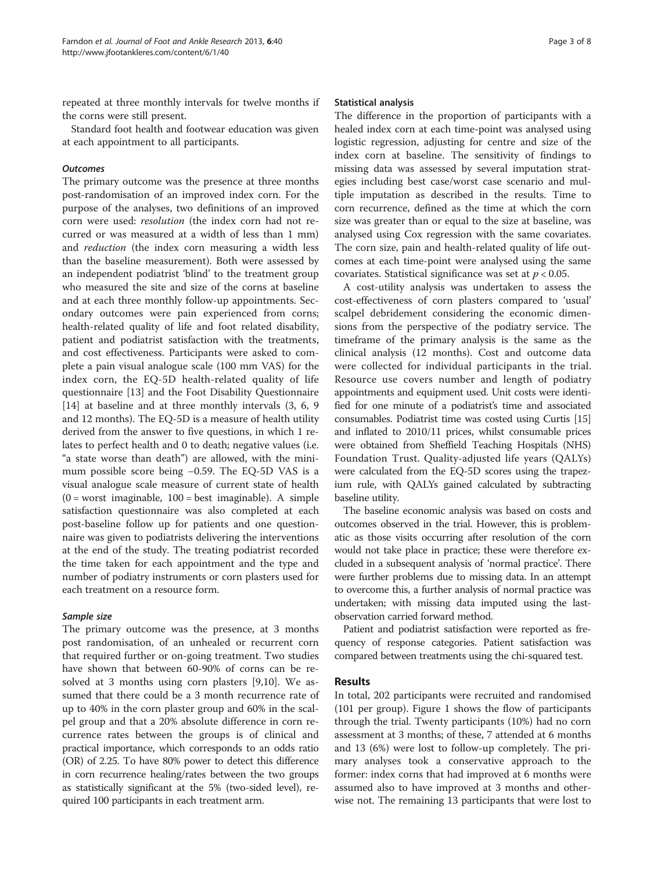repeated at three monthly intervals for twelve months if the corns were still present.

Standard foot health and footwear education was given at each appointment to all participants.

## **Outcomes**

The primary outcome was the presence at three months post-randomisation of an improved index corn. For the purpose of the analyses, two definitions of an improved corn were used: resolution (the index corn had not recurred or was measured at a width of less than 1 mm) and reduction (the index corn measuring a width less than the baseline measurement). Both were assessed by an independent podiatrist 'blind' to the treatment group who measured the site and size of the corns at baseline and at each three monthly follow-up appointments. Secondary outcomes were pain experienced from corns; health-related quality of life and foot related disability, patient and podiatrist satisfaction with the treatments, and cost effectiveness. Participants were asked to complete a pain visual analogue scale (100 mm VAS) for the index corn, the EQ-5D health-related quality of life questionnaire [[13](#page-7-0)] and the Foot Disability Questionnaire [[14\]](#page-7-0) at baseline and at three monthly intervals  $(3, 6, 9)$ and 12 months). The EQ-5D is a measure of health utility derived from the answer to five questions, in which 1 relates to perfect health and 0 to death; negative values (i.e. "a state worse than death") are allowed, with the minimum possible score being −0.59. The EQ-5D VAS is a visual analogue scale measure of current state of health  $(0 =$  worst imaginable,  $100 =$  best imaginable). A simple satisfaction questionnaire was also completed at each post-baseline follow up for patients and one questionnaire was given to podiatrists delivering the interventions at the end of the study. The treating podiatrist recorded the time taken for each appointment and the type and number of podiatry instruments or corn plasters used for each treatment on a resource form.

## Sample size

The primary outcome was the presence, at 3 months post randomisation, of an unhealed or recurrent corn that required further or on-going treatment. Two studies have shown that between 60-90% of corns can be resolved at 3 months using corn plasters [[9,10\]](#page-7-0). We assumed that there could be a 3 month recurrence rate of up to 40% in the corn plaster group and 60% in the scalpel group and that a 20% absolute difference in corn recurrence rates between the groups is of clinical and practical importance, which corresponds to an odds ratio (OR) of 2.25. To have 80% power to detect this difference in corn recurrence healing/rates between the two groups as statistically significant at the 5% (two-sided level), required 100 participants in each treatment arm.

## Statistical analysis

The difference in the proportion of participants with a healed index corn at each time-point was analysed using logistic regression, adjusting for centre and size of the index corn at baseline. The sensitivity of findings to missing data was assessed by several imputation strategies including best case/worst case scenario and multiple imputation as described in the results. Time to corn recurrence, defined as the time at which the corn size was greater than or equal to the size at baseline, was analysed using Cox regression with the same covariates. The corn size, pain and health-related quality of life outcomes at each time-point were analysed using the same covariates. Statistical significance was set at  $p < 0.05$ .

A cost-utility analysis was undertaken to assess the cost-effectiveness of corn plasters compared to 'usual' scalpel debridement considering the economic dimensions from the perspective of the podiatry service. The timeframe of the primary analysis is the same as the clinical analysis (12 months). Cost and outcome data were collected for individual participants in the trial. Resource use covers number and length of podiatry appointments and equipment used. Unit costs were identified for one minute of a podiatrist's time and associated consumables. Podiatrist time was costed using Curtis [[15](#page-7-0)] and inflated to 2010/11 prices, whilst consumable prices were obtained from Sheffield Teaching Hospitals (NHS) Foundation Trust. Quality-adjusted life years (QALYs) were calculated from the EQ-5D scores using the trapezium rule, with QALYs gained calculated by subtracting baseline utility.

The baseline economic analysis was based on costs and outcomes observed in the trial. However, this is problematic as those visits occurring after resolution of the corn would not take place in practice; these were therefore excluded in a subsequent analysis of 'normal practice'. There were further problems due to missing data. In an attempt to overcome this, a further analysis of normal practice was undertaken; with missing data imputed using the lastobservation carried forward method.

Patient and podiatrist satisfaction were reported as frequency of response categories. Patient satisfaction was compared between treatments using the chi-squared test.

## Results

In total, 202 participants were recruited and randomised (101 per group). Figure [1](#page-3-0) shows the flow of participants through the trial. Twenty participants (10%) had no corn assessment at 3 months; of these, 7 attended at 6 months and 13 (6%) were lost to follow-up completely. The primary analyses took a conservative approach to the former: index corns that had improved at 6 months were assumed also to have improved at 3 months and otherwise not. The remaining 13 participants that were lost to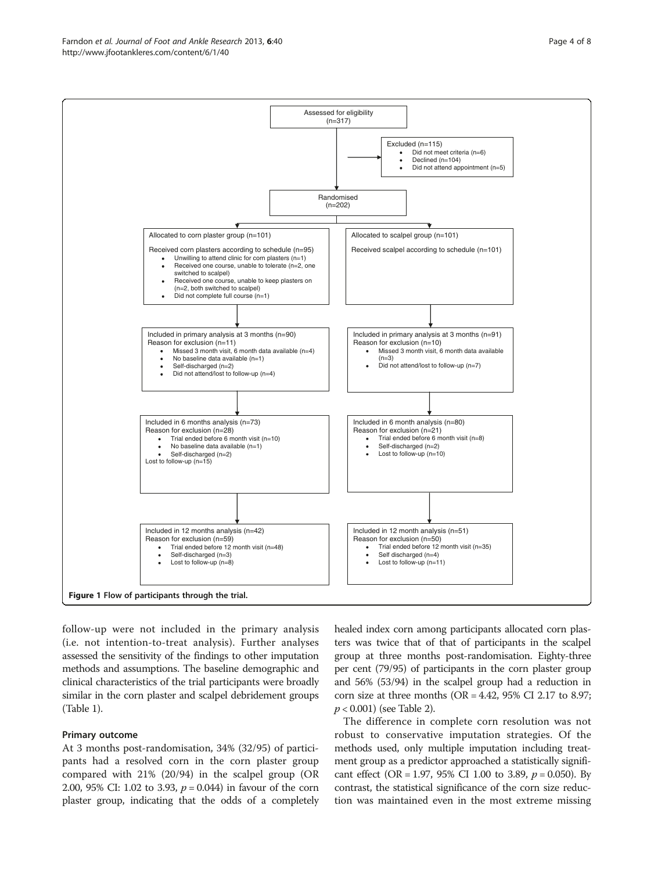follow-up were not included in the primary analysis (i.e. not intention-to-treat analysis). Further analyses assessed the sensitivity of the findings to other imputation methods and assumptions. The baseline demographic and clinical characteristics of the trial participants were broadly similar in the corn plaster and scalpel debridement groups (Table [1\)](#page-4-0).

## Primary outcome

At 3 months post-randomisation, 34% (32/95) of participants had a resolved corn in the corn plaster group compared with 21% (20/94) in the scalpel group (OR 2.00, 95% CI: 1.02 to 3.93,  $p = 0.044$ ) in favour of the corn plaster group, indicating that the odds of a completely healed index corn among participants allocated corn plasters was twice that of that of participants in the scalpel group at three months post-randomisation. Eighty-three per cent (79/95) of participants in the corn plaster group and 56% (53/94) in the scalpel group had a reduction in corn size at three months ( $OR = 4.42$ , 95% CI 2.17 to 8.97;  $p < 0.001$ ) (see Table [2](#page-4-0)).

The difference in complete corn resolution was not robust to conservative imputation strategies. Of the methods used, only multiple imputation including treatment group as a predictor approached a statistically significant effect (OR = 1.97, 95% CI 1.00 to 3.89,  $p = 0.050$ ). By contrast, the statistical significance of the corn size reduction was maintained even in the most extreme missing

<span id="page-3-0"></span>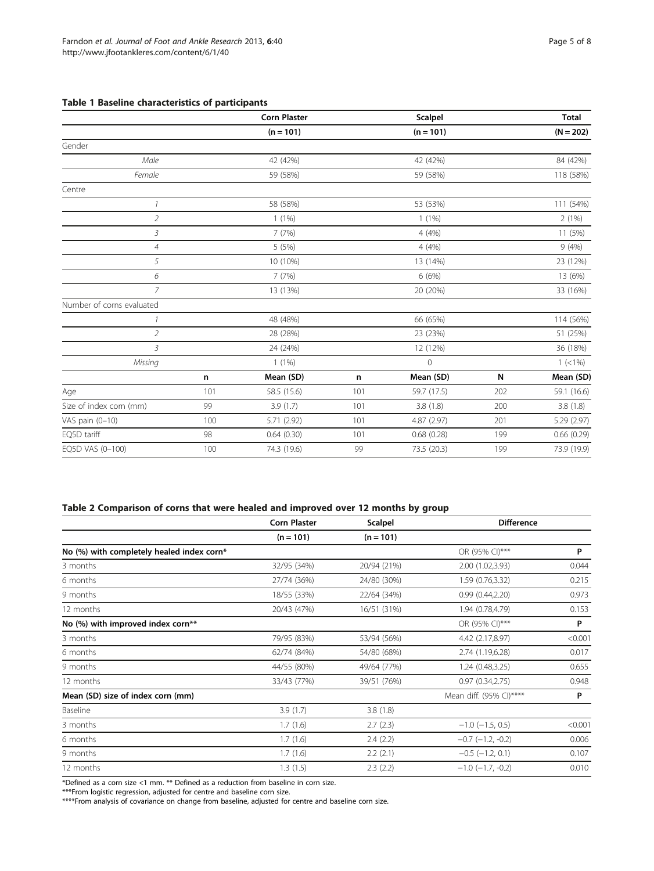## <span id="page-4-0"></span>Table 1 Baseline characteristics of participants

|                           |                      | <b>Corn Plaster</b>  |          | Scalpel     |           | <b>Total</b> |
|---------------------------|----------------------|----------------------|----------|-------------|-----------|--------------|
|                           |                      | $(n = 101)$          |          | $(n = 101)$ |           | $(N = 202)$  |
| Gender                    |                      |                      |          |             |           |              |
| Male                      |                      | 42 (42%)             | 42 (42%) |             |           | 84 (42%)     |
| Female                    |                      | 59 (58%)<br>59 (58%) |          |             | 118 (58%) |              |
| Centre                    |                      |                      |          |             |           |              |
| $\mathcal{I}$             | 58 (58%)             |                      |          | 53 (53%)    |           | 111 (54%)    |
| $\overline{2}$            | $1(1\%)$<br>$1(1\%)$ |                      |          | 2(1%)       |           |              |
| 3                         | 7(7%)                |                      |          | 4 (4%)      |           | 11 (5%)      |
| $\sqrt{4}$                |                      | 5(5%)<br>4 (4%)      |          |             | 9(4%)     |              |
| 5                         |                      | 10 (10%)<br>13 (14%) |          | 23 (12%)    |           |              |
| 6                         |                      | 7(7%)<br>6(6%)       |          |             |           | 13 (6%)      |
| 7                         |                      | 13 (13%)             |          | 20 (20%)    |           | 33 (16%)     |
| Number of corns evaluated |                      |                      |          |             |           |              |
| 1                         | 48 (48%)             |                      |          | 66 (65%)    |           |              |
| $\overline{2}$            | 28 (28%)<br>23 (23%) |                      |          | 51 (25%)    |           |              |
| $\mathfrak{Z}$            |                      | 24 (24%)             |          | 12 (12%)    |           | 36 (18%)     |
| Missing                   |                      | $1(1\%)$             |          | $\circ$     |           | $1 (< 1\%)$  |
|                           | n                    | Mean (SD)            | n        | Mean (SD)   | N         | Mean (SD)    |
| Age                       | 101                  | 58.5 (15.6)          | 101      | 59.7 (17.5) | 202       | 59.1 (16.6)  |
| Size of index corn (mm)   | 99                   | 3.9(1.7)             | 101      | 3.8(1.8)    | 200       | 3.8(1.8)     |
| VAS pain (0-10)           | 100                  | 5.71 (2.92)          | 101      | 4.87 (2.97) | 201       | 5.29 (2.97)  |
| EQ5D tariff               | 98                   | 0.64(0.30)           | 101      | 0.68(0.28)  | 199       | 0.66(0.29)   |
| EQ5D VAS (0-100)          | 100                  | 74.3 (19.6)          | 99       | 73.5 (20.3) | 199       | 73.9 (19.9)  |

## Table 2 Comparison of corns that were healed and improved over 12 months by group

|                                           | <b>Corn Plaster</b> | <b>Scalpel</b> | <b>Difference</b>          |         |
|-------------------------------------------|---------------------|----------------|----------------------------|---------|
|                                           | $(n = 101)$         | $(n = 101)$    |                            |         |
| No (%) with completely healed index corn* |                     |                | OR (95% CI)***             | P       |
| 3 months                                  | 32/95 (34%)         | 20/94 (21%)    | 2.00 (1.02,3.93)           | 0.044   |
| 6 months                                  | 27/74 (36%)         | 24/80 (30%)    | 1.59 (0.76,3.32)           | 0.215   |
| 9 months                                  | 18/55 (33%)         | 22/64 (34%)    | 0.99(0.44, 2.20)           | 0.973   |
| 12 months                                 | 20/43 (47%)         | 16/51 (31%)    | 1.94 (0.78,4.79)           | 0.153   |
| No (%) with improved index corn**         |                     |                | OR (95% CI)***             | P       |
| 3 months                                  | 79/95 (83%)         | 53/94 (56%)    | 4.42 (2.17,8.97)           | < 0.001 |
| 6 months                                  | 62/74 (84%)         | 54/80 (68%)    | 2.74 (1.19,6.28)           | 0.017   |
| 9 months                                  | 44/55 (80%)         | 49/64 (77%)    | 1.24 (0.48,3.25)           | 0.655   |
| 12 months                                 | 33/43 (77%)         | 39/51 (76%)    | 0.97(0.34, 2.75)           | 0.948   |
| Mean (SD) size of index corn (mm)         |                     |                | Mean diff. (95% CI)****    | P       |
| Baseline                                  | 3.9(1.7)            | 3.8(1.8)       |                            |         |
| 3 months                                  | 1.7(1.6)            | 2.7(2.3)       | $-1.0$ ( $-1.5$ , 0.5)     | < 0.001 |
| 6 months                                  | 1.7(1.6)            | 2.4(2.2)       | $-0.7$ $(-1.2, -0.2)$      | 0.006   |
| 9 months                                  | 1.7(1.6)            | 2.2(2.1)       | $-0.5$ ( $-1.2$ , 0.1)     | 0.107   |
| 12 months                                 | 1.3(1.5)            | 2.3(2.2)       | $-1.0$ ( $-1.7$ , $-0.2$ ) | 0.010   |

\*Defined as a corn size <1 mm. \*\* Defined as a reduction from baseline in corn size.

\*\*\*From logistic regression, adjusted for centre and baseline corn size.

\*\*\*\*From analysis of covariance on change from baseline, adjusted for centre and baseline corn size.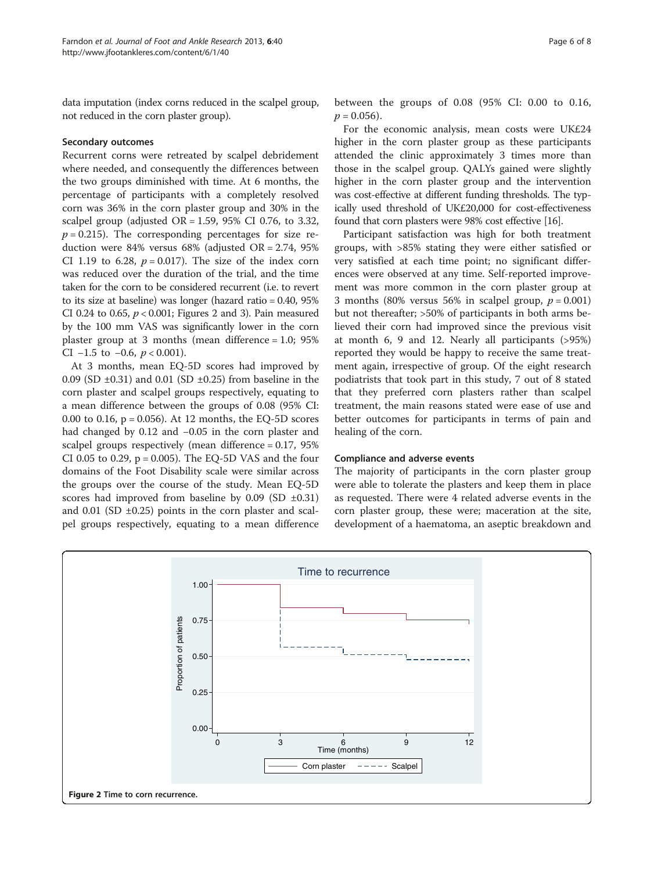data imputation (index corns reduced in the scalpel group, not reduced in the corn plaster group).

## Secondary outcomes

Recurrent corns were retreated by scalpel debridement where needed, and consequently the differences between the two groups diminished with time. At 6 months, the percentage of participants with a completely resolved corn was 36% in the corn plaster group and 30% in the scalpel group (adjusted  $OR = 1.59$ , 95% CI 0.76, to 3.32,  $p = 0.215$ ). The corresponding percentages for size reduction were 84% versus 68% (adjusted OR = 2.74, 95% CI 1.19 to 6.28,  $p = 0.017$ ). The size of the index corn was reduced over the duration of the trial, and the time taken for the corn to be considered recurrent (i.e. to revert to its size at baseline) was longer (hazard ratio = 0.40, 95% CI 0.24 to 0.65,  $p < 0.001$ ; Figures 2 and [3\)](#page-6-0). Pain measured by the 100 mm VAS was significantly lower in the corn plaster group at 3 months (mean difference = 1.0; 95% CI  $-1.5$  to  $-0.6$ ,  $p < 0.001$ ).

At 3 months, mean EQ-5D scores had improved by 0.09 (SD  $\pm$ 0.31) and 0.01 (SD  $\pm$ 0.25) from baseline in the corn plaster and scalpel groups respectively, equating to a mean difference between the groups of 0.08 (95% CI: 0.00 to 0.16, p = 0.056). At 12 months, the EQ-5D scores had changed by 0.12 and −0.05 in the corn plaster and scalpel groups respectively (mean difference = 0.17, 95% CI 0.05 to 0.29,  $p = 0.005$ ). The EQ-5D VAS and the four domains of the Foot Disability scale were similar across the groups over the course of the study. Mean EQ-5D scores had improved from baseline by  $0.09$  (SD  $\pm 0.31$ ) and 0.01 (SD  $\pm$ 0.25) points in the corn plaster and scalpel groups respectively, equating to a mean difference between the groups of 0.08 (95% CI: 0.00 to 0.16,  $p = 0.056$ ).

For the economic analysis, mean costs were UK£24 higher in the corn plaster group as these participants attended the clinic approximately 3 times more than those in the scalpel group. QALYs gained were slightly higher in the corn plaster group and the intervention was cost-effective at different funding thresholds. The typically used threshold of UK£20,000 for cost-effectiveness found that corn plasters were 98% cost effective [[16](#page-7-0)].

Participant satisfaction was high for both treatment groups, with >85% stating they were either satisfied or very satisfied at each time point; no significant differences were observed at any time. Self-reported improvement was more common in the corn plaster group at 3 months (80% versus 56% in scalpel group,  $p = 0.001$ ) but not thereafter; >50% of participants in both arms believed their corn had improved since the previous visit at month 6, 9 and 12. Nearly all participants (>95%) reported they would be happy to receive the same treatment again, irrespective of group. Of the eight research podiatrists that took part in this study, 7 out of 8 stated that they preferred corn plasters rather than scalpel treatment, the main reasons stated were ease of use and better outcomes for participants in terms of pain and healing of the corn.

## Compliance and adverse events

The majority of participants in the corn plaster group were able to tolerate the plasters and keep them in place as requested. There were 4 related adverse events in the corn plaster group, these were; maceration at the site, development of a haematoma, an aseptic breakdown and

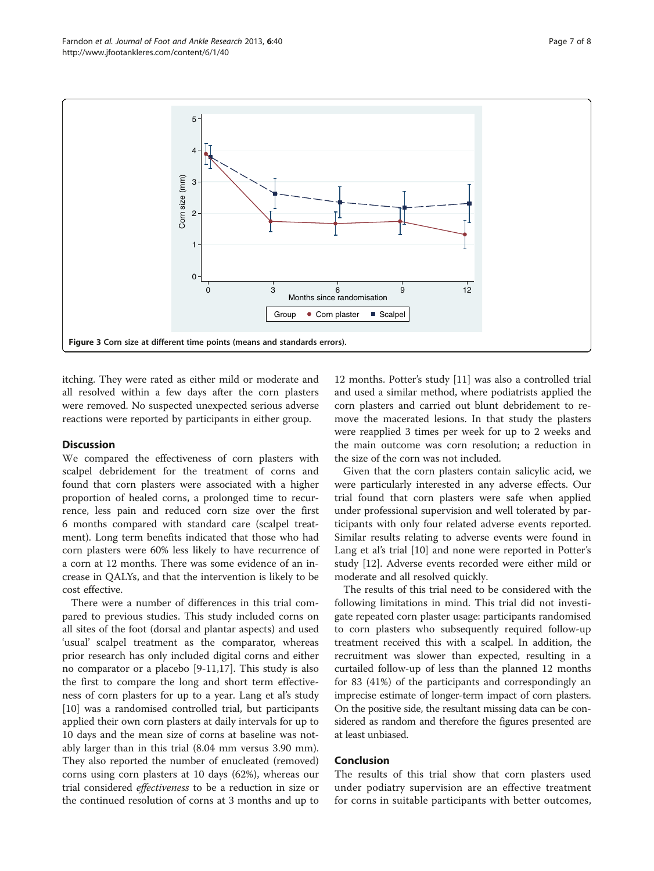<span id="page-6-0"></span>

itching. They were rated as either mild or moderate and all resolved within a few days after the corn plasters were removed. No suspected unexpected serious adverse reactions were reported by participants in either group.

## **Discussion**

We compared the effectiveness of corn plasters with scalpel debridement for the treatment of corns and found that corn plasters were associated with a higher proportion of healed corns, a prolonged time to recurrence, less pain and reduced corn size over the first 6 months compared with standard care (scalpel treatment). Long term benefits indicated that those who had corn plasters were 60% less likely to have recurrence of a corn at 12 months. There was some evidence of an increase in QALYs, and that the intervention is likely to be cost effective.

There were a number of differences in this trial compared to previous studies. This study included corns on all sites of the foot (dorsal and plantar aspects) and used 'usual' scalpel treatment as the comparator, whereas prior research has only included digital corns and either no comparator or a placebo [\[9](#page-7-0)-[11](#page-7-0),[17](#page-7-0)]. This study is also the first to compare the long and short term effectiveness of corn plasters for up to a year. Lang et al's study [[10\]](#page-7-0) was a randomised controlled trial, but participants applied their own corn plasters at daily intervals for up to 10 days and the mean size of corns at baseline was notably larger than in this trial (8.04 mm versus 3.90 mm). They also reported the number of enucleated (removed) corns using corn plasters at 10 days (62%), whereas our trial considered effectiveness to be a reduction in size or the continued resolution of corns at 3 months and up to

12 months. Potter's study [[11\]](#page-7-0) was also a controlled trial and used a similar method, where podiatrists applied the corn plasters and carried out blunt debridement to remove the macerated lesions. In that study the plasters were reapplied 3 times per week for up to 2 weeks and the main outcome was corn resolution; a reduction in the size of the corn was not included.

Given that the corn plasters contain salicylic acid, we were particularly interested in any adverse effects. Our trial found that corn plasters were safe when applied under professional supervision and well tolerated by participants with only four related adverse events reported. Similar results relating to adverse events were found in Lang et al's trial [[10](#page-7-0)] and none were reported in Potter's study [\[12](#page-7-0)]. Adverse events recorded were either mild or moderate and all resolved quickly.

The results of this trial need to be considered with the following limitations in mind. This trial did not investigate repeated corn plaster usage: participants randomised to corn plasters who subsequently required follow-up treatment received this with a scalpel. In addition, the recruitment was slower than expected, resulting in a curtailed follow-up of less than the planned 12 months for 83 (41%) of the participants and correspondingly an imprecise estimate of longer-term impact of corn plasters. On the positive side, the resultant missing data can be considered as random and therefore the figures presented are at least unbiased.

## Conclusion

The results of this trial show that corn plasters used under podiatry supervision are an effective treatment for corns in suitable participants with better outcomes,